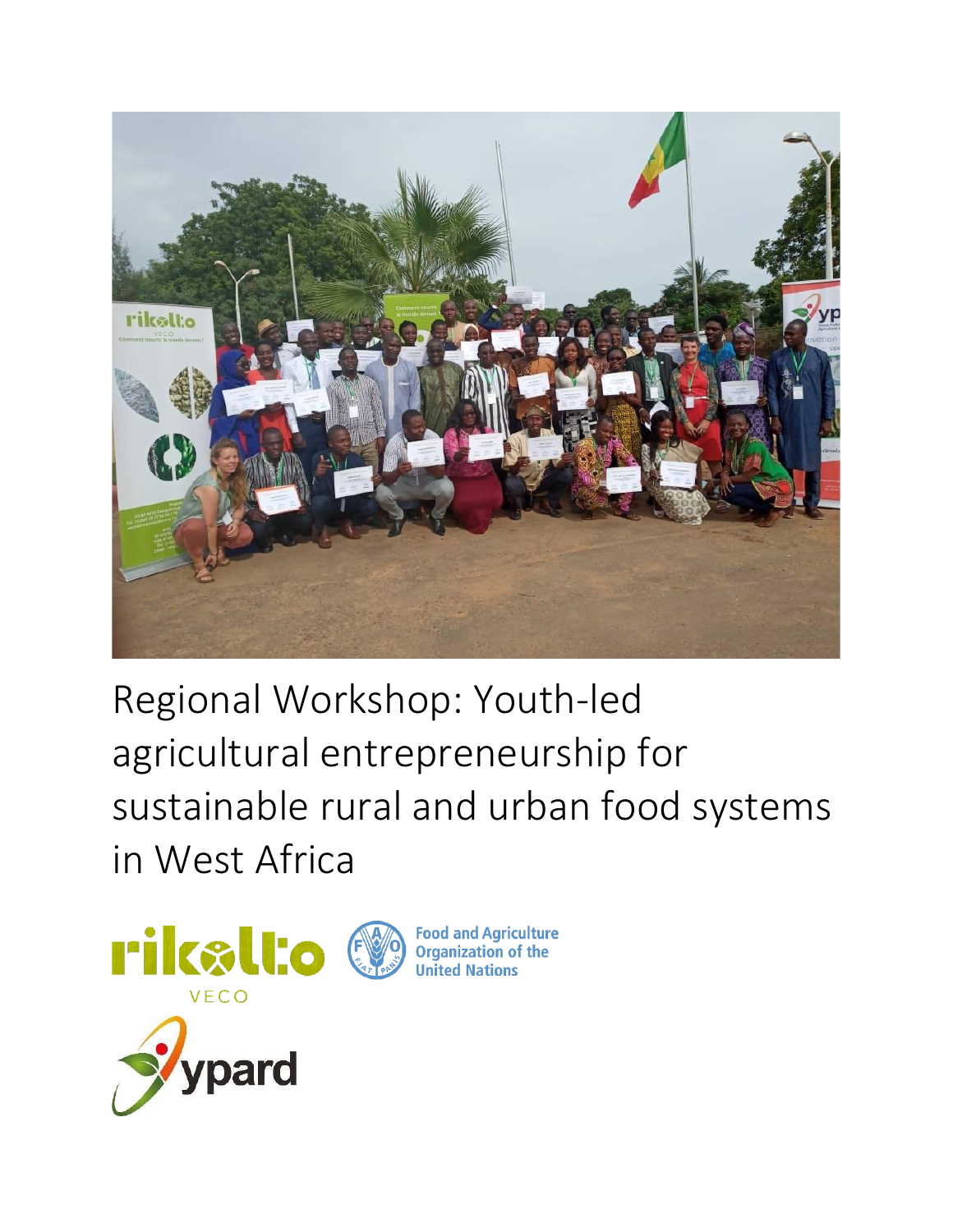

Regional Workshop: Youth-led agricultural entrepreneurship for sustainable rural and urban food systems in West Africa

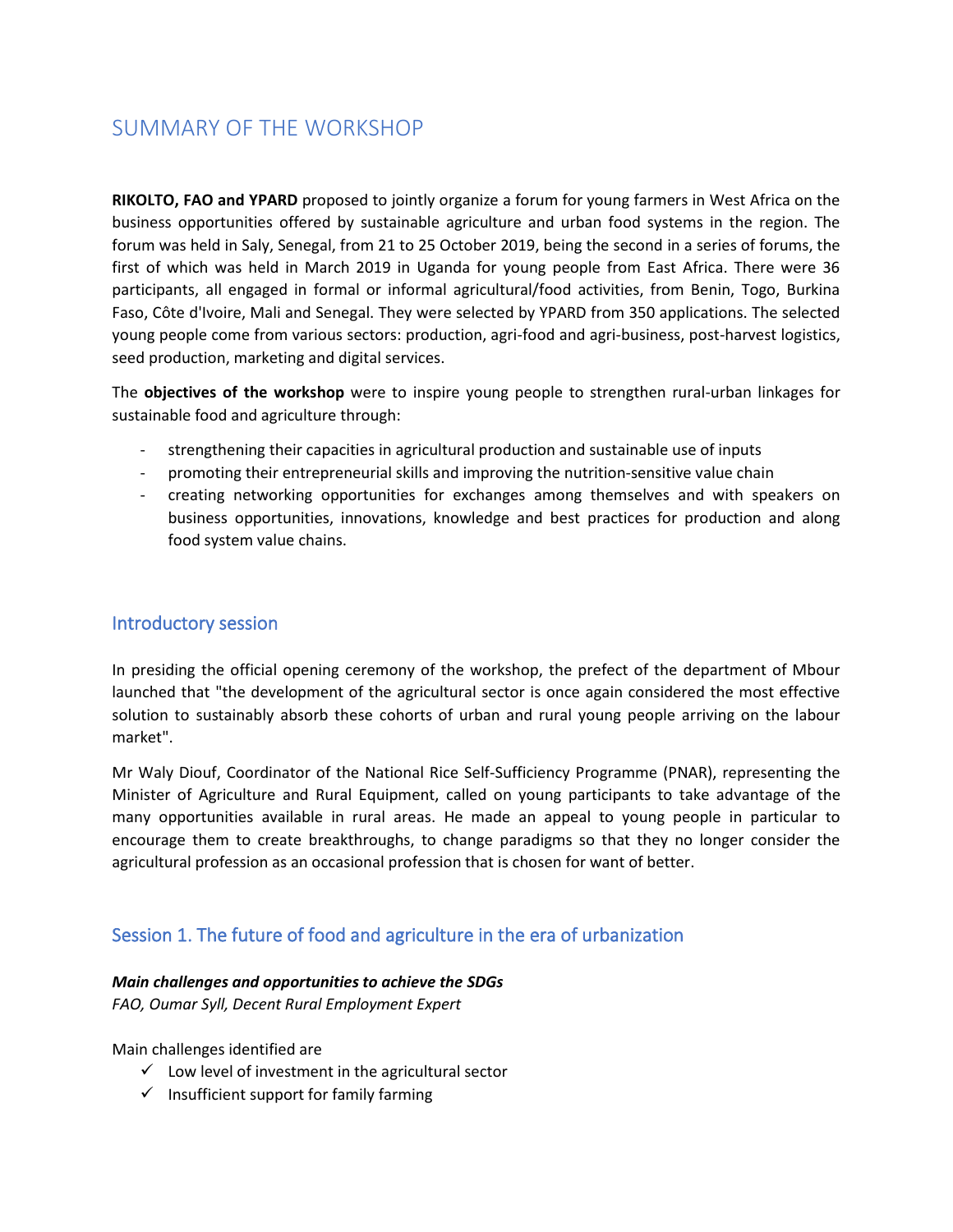# SUMMARY OF THE WORKSHOP

**RIKOLTO, FAO and YPARD** proposed to jointly organize a forum for young farmers in West Africa on the business opportunities offered by sustainable agriculture and urban food systems in the region. The forum was held in Saly, Senegal, from 21 to 25 October 2019, being the second in a series of forums, the first of which was held in March 2019 in Uganda for young people from East Africa. There were 36 participants, all engaged in formal or informal agricultural/food activities, from Benin, Togo, Burkina Faso, Côte d'Ivoire, Mali and Senegal. They were selected by YPARD from 350 applications. The selected young people come from various sectors: production, agri-food and agri-business, post-harvest logistics, seed production, marketing and digital services.

The **objectives of the workshop** were to inspire young people to strengthen rural-urban linkages for sustainable food and agriculture through:

- strengthening their capacities in agricultural production and sustainable use of inputs
- promoting their entrepreneurial skills and improving the nutrition-sensitive value chain
- creating networking opportunities for exchanges among themselves and with speakers on business opportunities, innovations, knowledge and best practices for production and along food system value chains.

### Introductory session

In presiding the official opening ceremony of the workshop, the prefect of the department of Mbour launched that "the development of the agricultural sector is once again considered the most effective solution to sustainably absorb these cohorts of urban and rural young people arriving on the labour market".

Mr Waly Diouf, Coordinator of the National Rice Self-Sufficiency Programme (PNAR), representing the Minister of Agriculture and Rural Equipment, called on young participants to take advantage of the many opportunities available in rural areas. He made an appeal to young people in particular to encourage them to create breakthroughs, to change paradigms so that they no longer consider the agricultural profession as an occasional profession that is chosen for want of better.

# Session 1. The future of food and agriculture in the era of urbanization

### *Main challenges and opportunities to achieve the SDGs*

*FAO, Oumar Syll, Decent Rural Employment Expert*

Main challenges identified are

- $\checkmark$  Low level of investment in the agricultural sector
- $\checkmark$  Insufficient support for family farming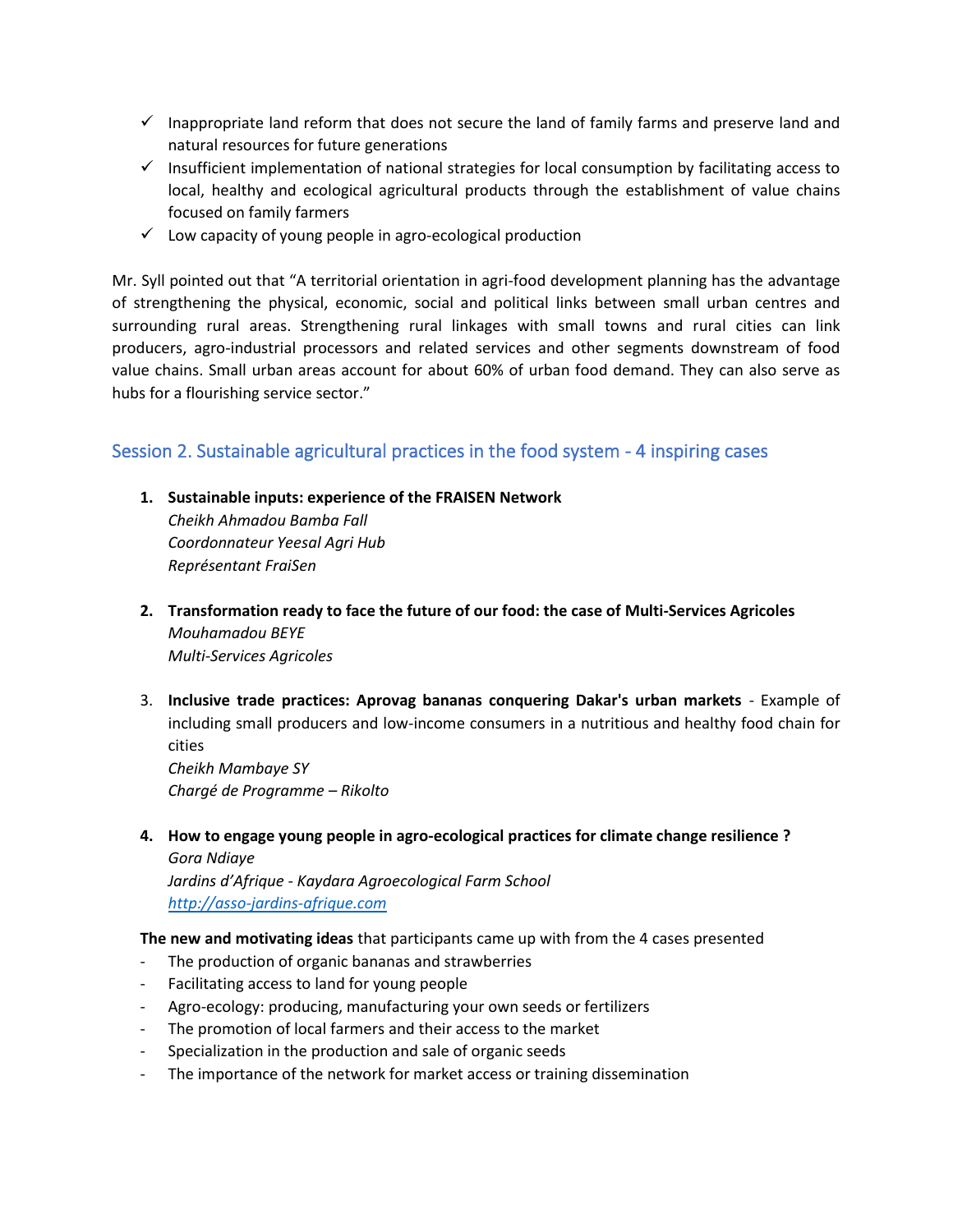- $\checkmark$  Inappropriate land reform that does not secure the land of family farms and preserve land and natural resources for future generations
- $\checkmark$  Insufficient implementation of national strategies for local consumption by facilitating access to local, healthy and ecological agricultural products through the establishment of value chains focused on family farmers
- $\checkmark$  Low capacity of young people in agro-ecological production

Mr. Syll pointed out that "A territorial orientation in agri-food development planning has the advantage of strengthening the physical, economic, social and political links between small urban centres and surrounding rural areas. Strengthening rural linkages with small towns and rural cities can link producers, agro-industrial processors and related services and other segments downstream of food value chains. Small urban areas account for about 60% of urban food demand. They can also serve as hubs for a flourishing service sector."

### Session 2. Sustainable agricultural practices in the food system - 4 inspiring cases

**1. Sustainable inputs: experience of the FRAISEN Network**

*Cheikh Ahmadou Bamba Fall Coordonnateur Yeesal Agri Hub Représentant FraiSen*

- **2. Transformation ready to face the future of our food: the case of Multi-Services Agricoles**  *Mouhamadou BEYE Multi-Services Agricoles*
- 3. **Inclusive trade practices: Aprovag bananas conquering Dakar's urban markets**  Example of including small producers and low-income consumers in a nutritious and healthy food chain for cities *Cheikh Mambaye SY Chargé de Programme – Rikolto*
- **4. How to engage young people in agro-ecological practices for climate change resilience ?** *Gora Ndiaye Jardins d'Afrique - Kaydara Agroecological Farm School [http://asso-jardins-afrique.com](http://asso-jardins-afrique.com/)*

**The new and motivating ideas** that participants came up with from the 4 cases presented

- The production of organic bananas and strawberries
- Facilitating access to land for young people
- Agro-ecology: producing, manufacturing your own seeds or fertilizers
- The promotion of local farmers and their access to the market
- Specialization in the production and sale of organic seeds
- The importance of the network for market access or training dissemination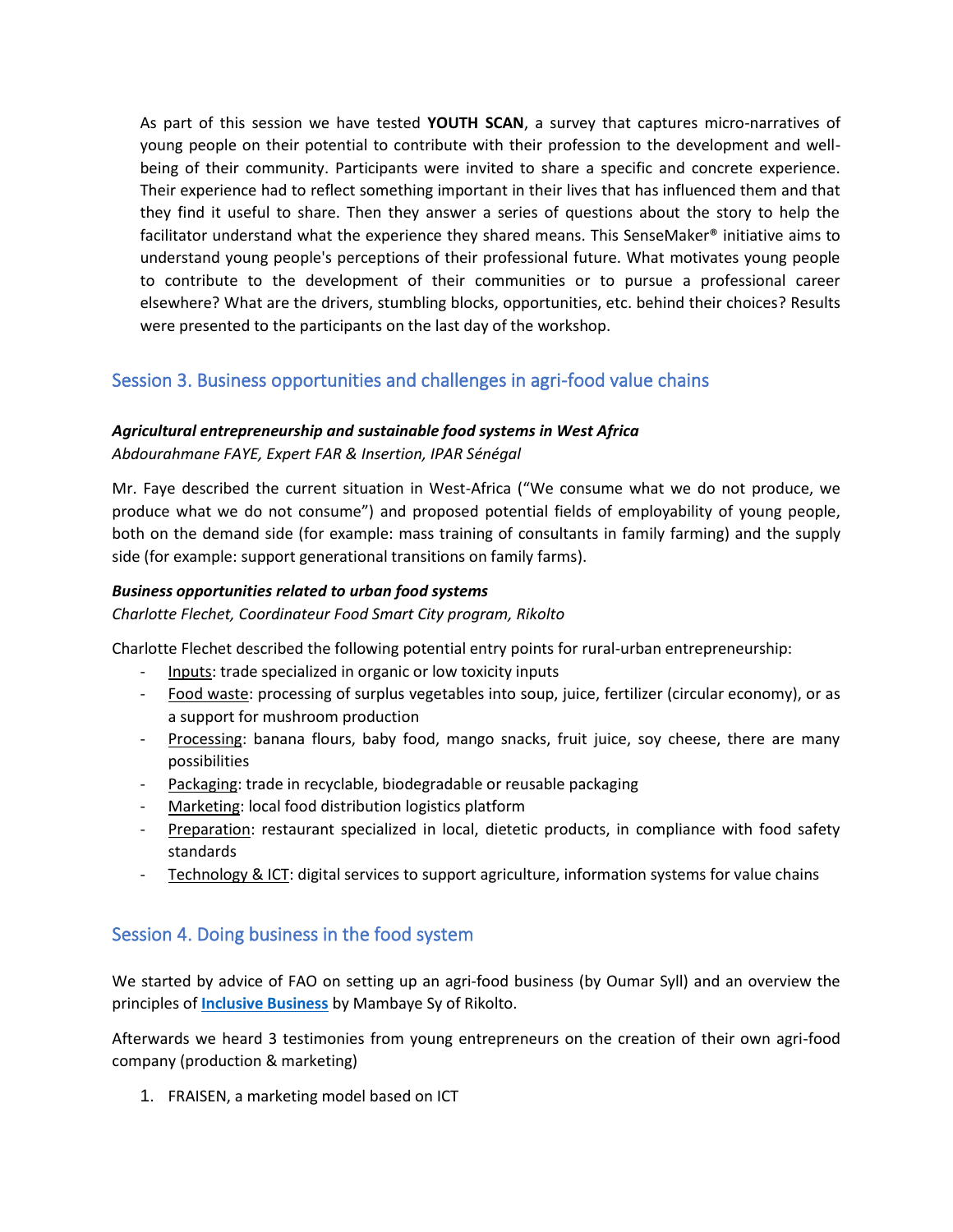As part of this session we have tested **YOUTH SCAN**, a survey that captures micro-narratives of young people on their potential to contribute with their profession to the development and wellbeing of their community. Participants were invited to share a specific and concrete experience. Their experience had to reflect something important in their lives that has influenced them and that they find it useful to share. Then they answer a series of questions about the story to help the facilitator understand what the experience they shared means. This SenseMaker<sup>®</sup> initiative aims to understand young people's perceptions of their professional future. What motivates young people to contribute to the development of their communities or to pursue a professional career elsewhere? What are the drivers, stumbling blocks, opportunities, etc. behind their choices? Results were presented to the participants on the last day of the workshop.

# Session 3. Business opportunities and challenges in agri-food value chains

### *Agricultural entrepreneurship and sustainable food systems in West Africa*

*Abdourahmane FAYE, Expert FAR & Insertion, IPAR Sénégal*

Mr. Faye described the current situation in West-Africa ("We consume what we do not produce, we produce what we do not consume") and proposed potential fields of employability of young people, both on the demand side (for example: mass training of consultants in family farming) and the supply side (for example: support generational transitions on family farms).

#### *Business opportunities related to urban food systems*

*Charlotte Flechet, Coordinateur Food Smart City program, Rikolto*

Charlotte Flechet described the following potential entry points for rural-urban entrepreneurship:

- Inputs: trade specialized in organic or low toxicity inputs
- Food waste: processing of surplus vegetables into soup, juice, fertilizer (circular economy), or as a support for mushroom production
- Processing: banana flours, baby food, mango snacks, fruit juice, soy cheese, there are many possibilities
- Packaging: trade in recyclable, biodegradable or reusable packaging
- Marketing: local food distribution logistics platform
- Preparation: restaurant specialized in local, dietetic products, in compliance with food safety standards
- Technology & ICT: digital services to support agriculture, information systems for value chains

### Session 4. Doing business in the food system

We started by advice of FAO on setting up an agri-food business (by Oumar Syll) and an overview the principles of **[Inclusive Business](https://www.rikolto.org/en/inclusive-business-insights)** by Mambaye Sy of Rikolto.

Afterwards we heard 3 testimonies from young entrepreneurs on the creation of their own agri-food company (production & marketing)

1. FRAISEN, a marketing model based on ICT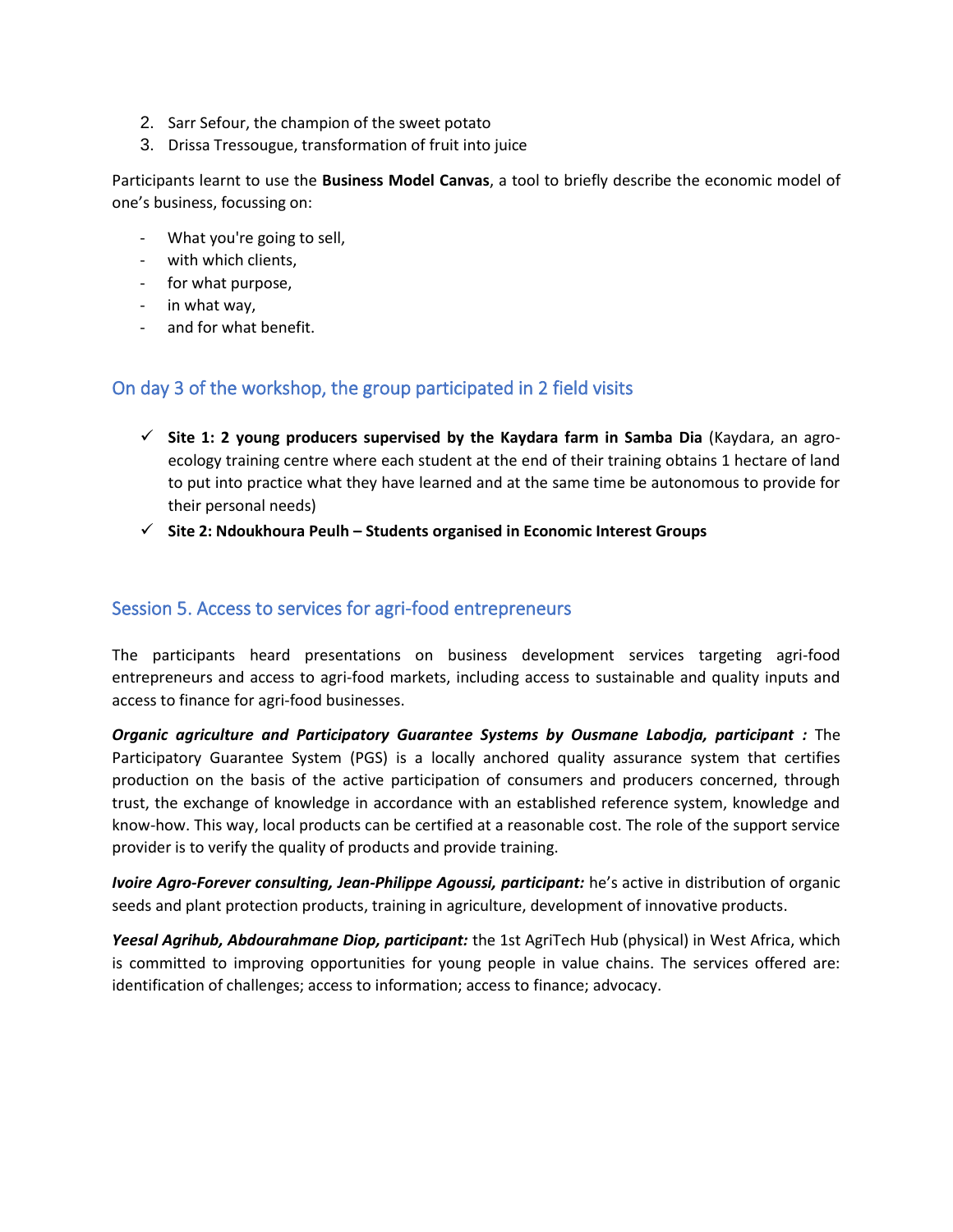- 2. Sarr Sefour, the champion of the sweet potato
- 3. Drissa Tressougue, transformation of fruit into juice

Participants learnt to use the **Business Model Canvas**, a tool to briefly describe the economic model of one's business, focussing on:

- What you're going to sell,
- with which clients,
- for what purpose,
- in what way,
- and for what benefit.

### On day 3 of the workshop, the group participated in 2 field visits

- ✓ **Site 1: 2 young producers supervised by the Kaydara farm in Samba Dia** (Kaydara, an agroecology training centre where each student at the end of their training obtains 1 hectare of land to put into practice what they have learned and at the same time be autonomous to provide for their personal needs)
- ✓ **Site 2: Ndoukhoura Peulh – Students organised in Economic Interest Groups**

### Session 5. Access to services for agri-food entrepreneurs

The participants heard presentations on business development services targeting agri-food entrepreneurs and access to agri-food markets, including access to sustainable and quality inputs and access to finance for agri-food businesses.

*Organic agriculture and Participatory Guarantee Systems by Ousmane Labodja, participant :* The Participatory Guarantee System (PGS) is a locally anchored quality assurance system that certifies production on the basis of the active participation of consumers and producers concerned, through trust, the exchange of knowledge in accordance with an established reference system, knowledge and know-how. This way, local products can be certified at a reasonable cost. The role of the support service provider is to verify the quality of products and provide training.

*Ivoire Agro-Forever consulting, Jean-Philippe Agoussi, participant:* he's active in distribution of organic seeds and plant protection products, training in agriculture, development of innovative products.

*Yeesal Agrihub, Abdourahmane Diop, participant:* the 1st AgriTech Hub (physical) in West Africa, which is committed to improving opportunities for young people in value chains. The services offered are: identification of challenges; access to information; access to finance; advocacy.